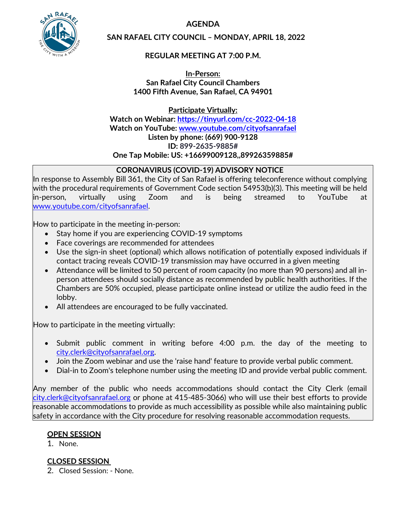**AGENDA**



**SAN RAFAEL CITY COUNCIL – MONDAY, APRIL 18, 2022**

# **REGULAR MEETING AT 7:00 P.M.**

**In-Person: San Rafael City Council Chambers 1400 Fifth Avenue, San Rafael, CA 94901**

**Participate Virtually: Watch on Webinar: <https://tinyurl.com/cc-2022-04-18> Watch on YouTube: [www.youtube.com/cityofsanrafael](http://www.youtube.com/cityofsanrafael) Listen by phone: (669) 900-9128 ID: 899-2635-9885# One Tap Mobile: US: +16699009128,,89926359885#**

# **CORONAVIRUS (COVID-19) ADVISORY NOTICE**

In response to Assembly Bill 361, the City of San Rafael is offering teleconference without complying with the procedural requirements of Government Code section 54953(b)(3). This meeting will be held in-person, virtually using Zoom and is being streamed to YouTube at [www.youtube.com/cityofsanrafael.](http://www.youtube.com/cityofsanrafael)

How to participate in the meeting in-person:

- Stay home if you are experiencing COVID-19 symptoms
- Face coverings are recommended for attendees
- Use the sign-in sheet (optional) which allows notification of potentially exposed individuals if contact tracing reveals COVID-19 transmission may have occurred in a given meeting
- Attendance will be limited to 50 percent of room capacity (no more than 90 persons) and all inperson attendees should socially distance as recommended by public health authorities. If the Chambers are 50% occupied, please participate online instead or utilize the audio feed in the lobby.
- All attendees are encouraged to be fully vaccinated.

How to participate in the meeting virtually:

- Submit public comment in writing before 4:00 p.m. the day of the meeting to [city.clerk@cityofsanrafael.org.](mailto:city.clerk@cityofsanrafael.org)
- Join the Zoom webinar and use the 'raise hand' feature to provide verbal public comment.
- Dial-in to Zoom's telephone number using the meeting ID and provide verbal public comment.

Any member of the public who needs accommodations should contact the City Clerk (email [city.clerk@cityofsanrafael.org](mailto:city.clerk@cityofsanrafael.org) or phone at 415-485-3066) who will use their best efforts to provide reasonable accommodations to provide as much accessibility as possible while also maintaining public safety in accordance with the City procedure for resolving reasonable accommodation requests.

# **OPEN SESSION**

1. None.

# **CLOSED SESSION**

2. Closed Session: - None.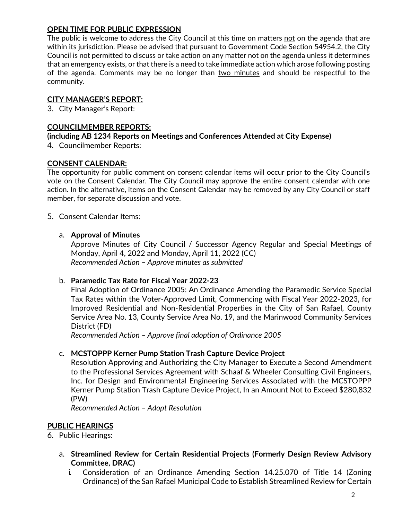# **OPEN TIME FOR PUBLIC EXPRESSION**

The public is welcome to address the City Council at this time on matters not on the agenda that are within its jurisdiction. Please be advised that pursuant to Government Code Section 54954.2, the City Council is not permitted to discuss or take action on any matter not on the agenda unless it determines that an emergency exists, or that there is a need to take immediate action which arose following posting of the agenda. Comments may be no longer than two minutes and should be respectful to the community.

## **CITY MANAGER'S REPORT:**

3. City Manager's Report:

## **COUNCILMEMBER REPORTS:**

## **(including AB 1234 Reports on Meetings and Conferences Attended at City Expense)**

4. Councilmember Reports:

## **CONSENT CALENDAR:**

The opportunity for public comment on consent calendar items will occur prior to the City Council's vote on the Consent Calendar. The City Council may approve the entire consent calendar with one action. In the alternative, items on the Consent Calendar may be removed by any City Council or staff member, for separate discussion and vote.

## 5. Consent Calendar Items:

#### a. **Approval of Minutes**

Approve Minutes of City Council / Successor Agency Regular and Special Meetings of Monday, April 4, 2022 and Monday, April 11, 2022 (CC) *Recommended Action – Approve minutes as submitted*

## b. **Paramedic Tax Rate for Fiscal Year 2022-23**

Final Adoption of Ordinance 2005: An Ordinance Amending the Paramedic Service Special Tax Rates within the Voter-Approved Limit, Commencing with Fiscal Year 2022-2023, for Improved Residential and Non-Residential Properties in the City of San Rafael, County Service Area No. 13, County Service Area No. 19, and the Marinwood Community Services District (FD)

*Recommended Action – Approve final adoption of Ordinance 2005*

## c. **MCSTOPPP Kerner Pump Station Trash Capture Device Project**

Resolution Approving and Authorizing the City Manager to Execute a Second Amendment to the Professional Services Agreement with Schaaf & Wheeler Consulting Civil Engineers, Inc. for Design and Environmental Engineering Services Associated with the MCSTOPPP Kerner Pump Station Trash Capture Device Project, In an Amount Not to Exceed \$280,832 (PW)

*Recommended Action – Adopt Resolution*

## **PUBLIC HEARINGS**

## 6. Public Hearings:

- a. **Streamlined Review for Certain Residential Projects (Formerly Design Review Advisory Committee, DRAC)**
	- i. Consideration of an Ordinance Amending Section 14.25.070 of Title 14 (Zoning Ordinance) of the San Rafael Municipal Code to Establish Streamlined Review for Certain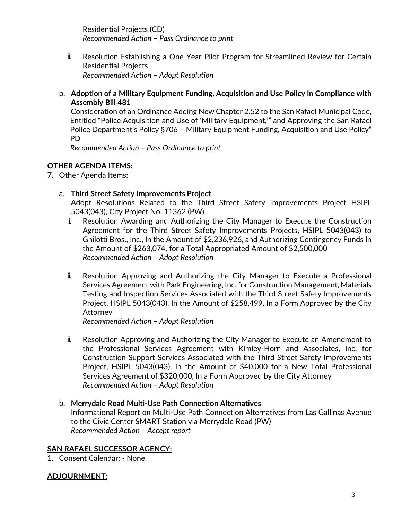Residential Projects (CD) *Recommended Action – Pass Ordinance to print*

- ii. Resolution Establishing a One Year Pilot Program for Streamlined Review for Certain Residential Projects *Recommended Action – Adopt Resolution*
- b. **Adoption of a Military Equipment Funding, Acquisition and Use Policy in Compliance with Assembly Bill 481**

Consideration of an Ordinance Adding New Chapter 2.52 to the San Rafael Municipal Code, Entitled "Police Acquisition and Use of 'Military Equipment,'" and Approving the San Rafael Police Department's Policy §706 – Military Equipment Funding, Acquisition and Use Policy" PD

*Recommended Action – Pass Ordinance to print*

# **OTHER AGENDA ITEMS:**

7. Other Agenda Items:

# a. **Third Street Safety Improvements Project**

Adopt Resolutions Related to the Third Street Safety Improvements Project HSIPL 5043(043), City Project No. 11362 (PW)

- i. Resolution Awarding and Authorizing the City Manager to Execute the Construction Agreement for the Third Street Safety Improvements Projects, HSIPL 5043(043) to Ghilotti Bros., Inc., In the Amount of \$2,236,926, and Authorizing Contingency Funds In the Amount of \$263,074, for a Total Appropriated Amount of \$2,500,000 *Recommended Action – Adopt Resolution*
- ii. Resolution Approving and Authorizing the City Manager to Execute a Professional Services Agreement with Park Engineering, Inc. for Construction Management, Materials Testing and Inspection Services Associated with the Third Street Safety Improvements Project, HSIPL 5043(043), In the Amount of \$258,499, In a Form Approved by the City Attorney

*Recommended Action – Adopt Resolution*

- iii. Resolution Approving and Authorizing the City Manager to Execute an Amendment to the Professional Services Agreement with Kimley-Horn and Associates, Inc. for Construction Support Services Associated with the Third Street Safety Improvements Project, HSIPL 5043(043), In the Amount of \$40,000 for a New Total Professional Services Agreement of \$320,000, In a Form Approved by the City Attorney *Recommended Action – Adopt Resolution*
- b. **Merrydale Road Multi-Use Path Connection Alternatives** Informational Report on Multi-Use Path Connection Alternatives from Las Gallinas Avenue to the Civic Center SMART Station via Merrydale Road (PW) *Recommended Action – Accept report*

# **SAN RAFAEL SUCCESSOR AGENCY:**

1. Consent Calendar: - None

# **ADJOURNMENT:**